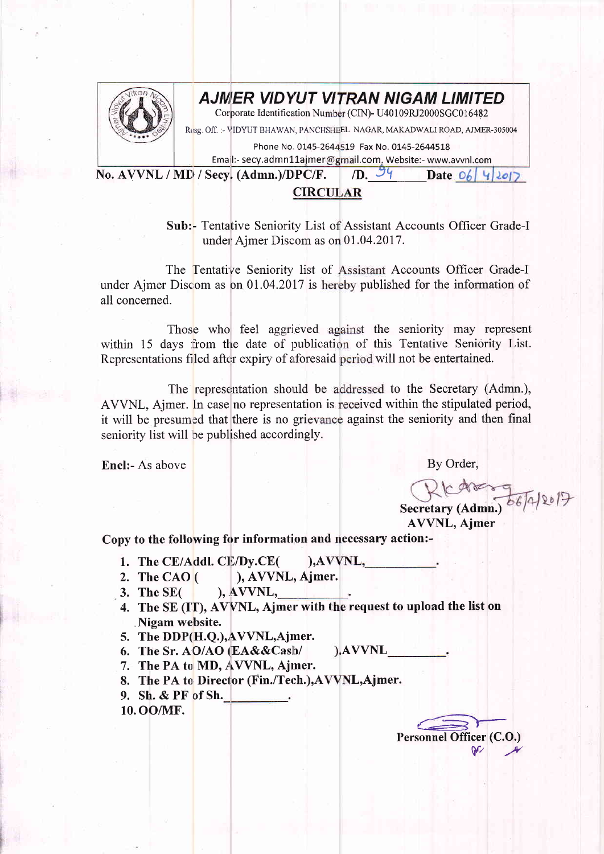

## AJMER VIDYUT VITRAN NIGAM LIMITED

Corporate Identification Number (CIN)- U40109RJ2000SGC016482

Resg. Off. :- VIDYUT BHAWAN, PANCHSHEEL NAGAR, MAKADWALI ROAD, AJMER-305004

Phone No. 0145-2644519 Fax No. 0145-2644518

Email:- secy.admn11ajmer@gmail.com, Website:- www.avvnl.com Date  $O_6$  4/2017

 $/D.$   $\frac{54}{7}$ No. AVVNL / MD / Secy. (Admn.)/DPC/F.

## **CIRCULAR**

Sub:- Tentative Seniority List of Assistant Accounts Officer Grade-I under Ajmer Discom as on 01.04.2017.

The Tentative Seniority list of Assistant Accounts Officer Grade-I under Ajmer Discom as on 01.04.2017 is hereby published for the information of all concerned.

Those who feel aggrieved against the seniority may represent within 15 days from the date of publication of this Tentative Seniority List. Representations filed after expiry of aforesaid period will not be entertained.

The representation should be addressed to the Secretary (Admn.), AVVNL, Aimer. In case no representation is received within the stipulated period, it will be presumed that there is no grievance against the seniority and then final seniority list will be published accordingly.

**Encl:- As above** 

By Order,

Secretary (Admn.) 66/4/2017

**AVVNL, Ajmer** 

Copy to the following for information and necessary action:-

- 1. The CE/Addl. CE/Dy.CE(  $AVVNL$ ,
- ), AVVNL, Ajmer. 2. The CAO $($
- $AVVNL$ , 3. The  $SE($
- 4. The SE (IT), AVVNL, Ajmer with the request to upload the list on Nigam website.
- 5. The DDP(H.Q.), AVVNL, Ajmer.
- ).AVVNL 6. The Sr. AO/AO (EA&&Cash/
- 7. The PA to MD, AVVNL, Ajmer.
- 8. The PA to Director (Fin./Tech.), AVVNL, Ajmer.
- 9. Sh. & PF of Sh.
- 10. OO/MF.

Personnel Officer (C.O.)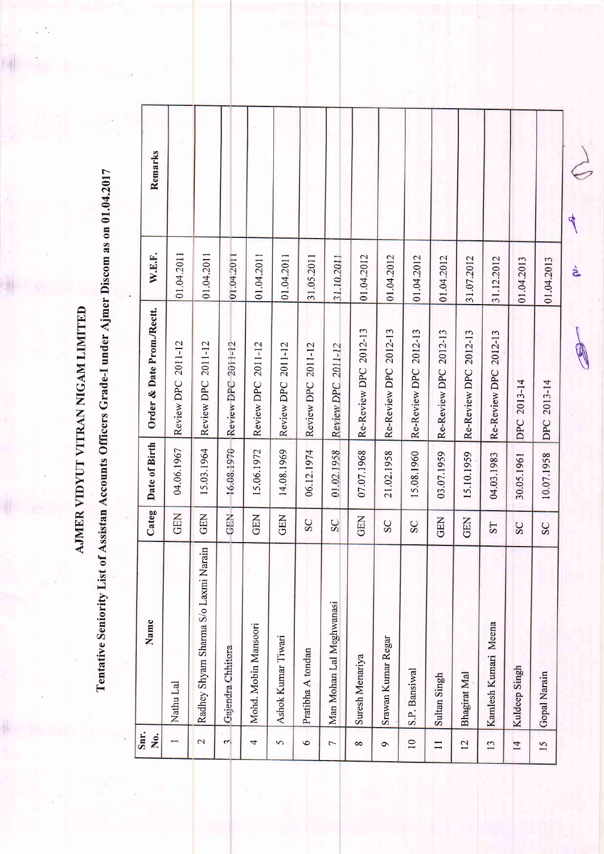AJMER VIDYUT VITRAN NIGAM LIMITED

Tentative Seniority List of Assistan Accounts Officers Grade-I under Ajmer Discom as on 01.04.2017

| Snr.<br>Χo.       | Name                                 | Categ       | Date of Birth | Order & Date Prom./Rectt.    | W.E.F.     | Remarks |
|-------------------|--------------------------------------|-------------|---------------|------------------------------|------------|---------|
|                   | Nathu Lal                            | <b>GEN</b>  | 04.06.1967    | Review DPC 2011-12           | 01.04.2011 |         |
| $\mathbf{\Omega}$ | Radhey Shyam Sharma S/o Laxmi Narain | GEN         | 15.03.1964    | Review DPC 2011-12           | 01.04.2011 |         |
| $\mathfrak{c}$    | Gajendra Chhitora                    | GEN         | 15.08.1970    | Review DPC 2011-12           | 01.04.2011 |         |
| 4                 | Mohd. Mobin Mansoori                 | <b>GEN</b>  | 15.06.1972    | Review DPC 2011-12           | 01.04.2011 |         |
| 5                 | Ashok Kumar Tiwari                   | <b>GEN</b>  | 14.08.1969    | Review DPC 2011-12           | 01.04.2011 |         |
| $\circ$           | Pratibha A tondan                    | SC          | 06.12.1974    | 2011-12<br><b>Review DPC</b> | 31.05.2011 |         |
| 7                 | Man Mohan Lal Meghwanasi             | $_{\rm SC}$ | 01.02.1958    | 2011-12<br><b>Review DPC</b> | 31.10.2011 |         |
| $\infty$          | Suresh Menariya                      | GEN         | 07.07.1968    | Re-Review DPC 2012-13        | 01.04.2012 |         |
| $\sigma$          | Srawan Kumar Regar                   | SC          | 21.02.1958    | Re-Review DPC 2012-13        | 01.04.2012 |         |
| $\overline{10}$   | S.P. Bansiwal                        | SC          | 15.08.1960    | Re-Review DPC 2012-13        | 01.04.2012 |         |
| $\Box$            | Sultan Singh                         | GEN         | 03.07.1959    | Re-Review DPC 2012-13        | 01.04.2012 |         |
| 12                | Bhagirat Mal                         | GEN         | 15.10.1959    | Re-Review DPC 2012-13        | 31.07.2012 |         |
| 13                | Kamlesh Kumari Meena                 | <b>ST</b>   | 04.03.1983    | Re-Review DPC 2012-13        | 31.12.2012 |         |
| $\overline{14}$   | Kuldeep Singh                        | SC          | 30.05.1961    | 2013-14<br>DPC               | 01.04.2013 |         |
| 15                | Gopal Narain                         | SC          | 10.07.1958    | DPC 2013-14                  | 01.04.2013 |         |
|                   |                                      |             |               |                              | દે         | 4       |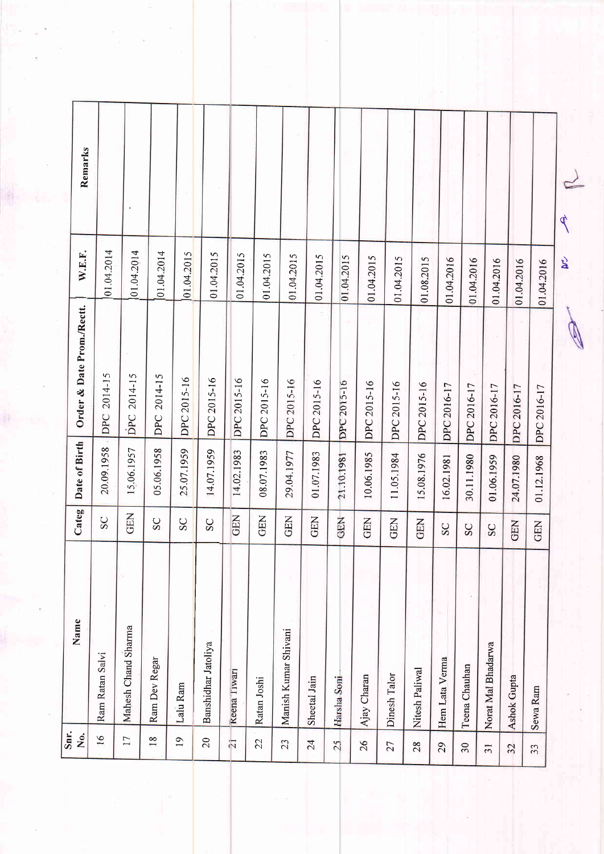| Snr.            |                      |            |               |                                         |            |         |
|-----------------|----------------------|------------|---------------|-----------------------------------------|------------|---------|
| Ż.              | Name                 | Categ      | Date of Birth | Order & Date Prom./Rectt.               | W.E.F.     | Remarks |
| 16              | Ram Ratan Salvi      | SC         | 20.09.1958    | DPC 2014-15<br>$\overline{\phantom{a}}$ | 01.04.2014 |         |
| 17              | Mahesh Chand Sharma  | GEN        | 15.06.1957    | DPC 2014-15                             | 01.04.2014 |         |
| 18              | Ram Dev Regar        | SC         | 05.06.1958    | 2014-15<br>DPC                          | 01.04.2014 |         |
| $\overline{19}$ | Lalu Ram             | SC         | 25.07.1959    | DPC 2015-16                             | 01.04.2015 |         |
| 20              | Banshidhar Jatoliya  | SC         | 14.07.1959    | DPC 2015-16                             | 01.04.2015 |         |
| $\overline{21}$ | Keena liwari         | <b>GEN</b> | 14.02.1983    | DPC 2015-16                             | 01.04.2015 |         |
| 22              | Ratan Joshi          | <b>GEN</b> | 08.07.1983    | DPC 2015-16                             | 01.04.2015 |         |
| 23              | Manish Kumar Shivani | <b>GEN</b> | 29.04.1977    | DPC 2015-16                             | 01.04.2015 |         |
| 24              | Sheetal Jain         | GEN        | 01.07.1983    | DPC 2015-16                             | 01.04.2015 |         |
| 25              | Harsha Soni          | GEN        | 21.10.1981    | DPC 2015-16                             | 01.04.2015 |         |
| 26              | Ajay Charan          | GEN        | 10.06.1985    | DPC 2015-16                             | 01.04.2015 |         |
| 27              | Dinesh Talor         | <b>GEN</b> | 11.05.1984    | DPC 2015-16                             | 01.04.2015 |         |
| 28              | Nitesh Paliwal       | GEN        | 15.08.1976    | DPC 2015-16                             | 01.08.2015 |         |
| 29              | Hem Lata Verma       | SC         | 16.02.1981    | DPC 2016-17                             | 01.04.2016 |         |
| 30              | Teena Chauhan        | SC         | 30.11.1980    | DPC 2016-17                             | 01.04.2016 |         |
| $\overline{31}$ | Norat Mal Bhadarwa   | SC         | 01.06.1959    | DPC 2016-17                             | 01.04.2016 |         |
| 32              | Ashok Gupta          | <b>GEN</b> | 24.07.1980    | DPC 2016-17                             | 01.04.2016 |         |
| 33              | Sewa Ram             | <b>GEN</b> | 01.12.1968    | DPC 2016-17                             | 01.04.2016 |         |
|                 |                      |            |               |                                         | ट्रे       | c<br>¢  |

ję.